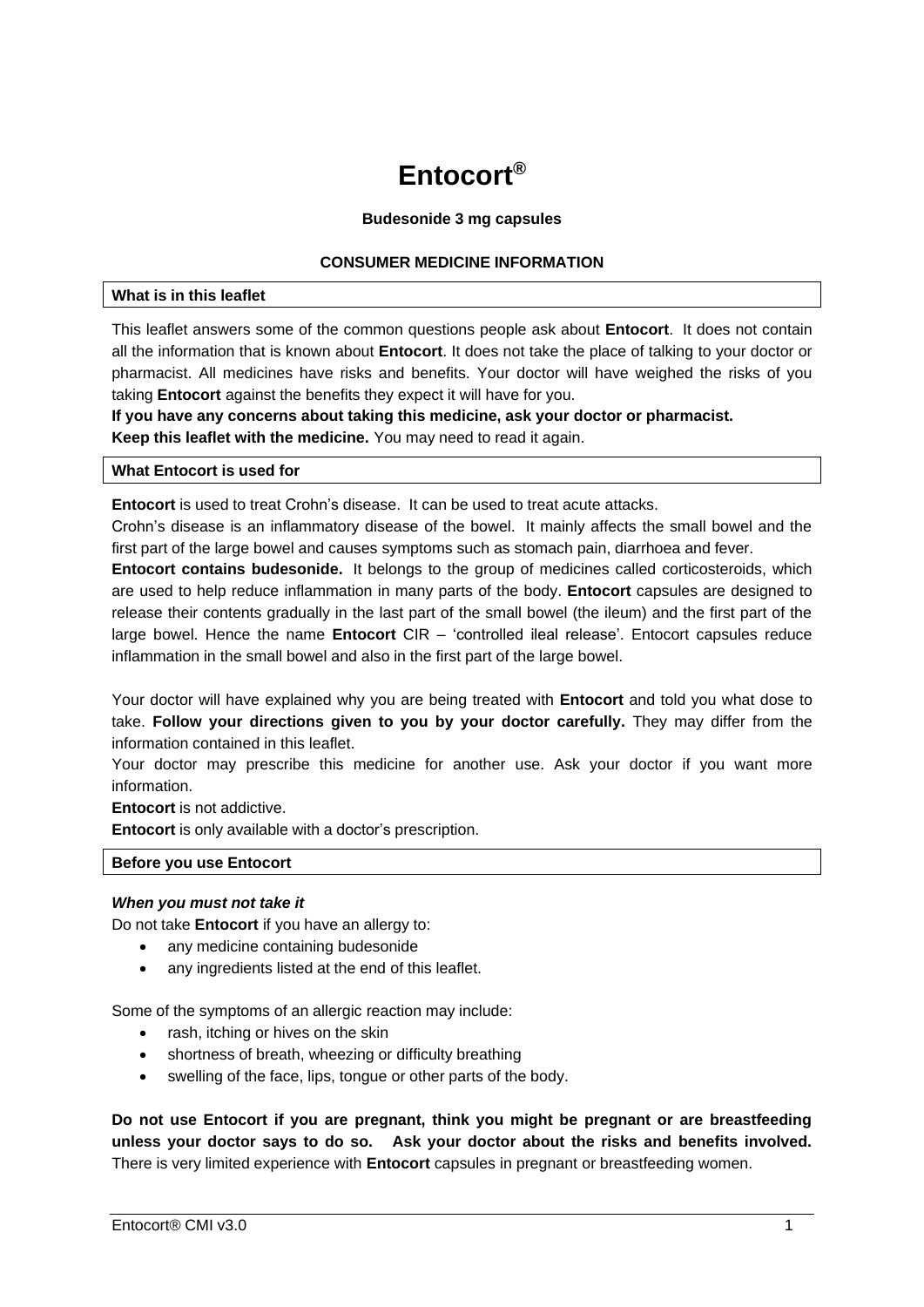# **Entocort®**

## **Budesonide 3 mg capsules**

# **CONSUMER MEDICINE INFORMATION**

#### **What is in this leaflet**

This leaflet answers some of the common questions people ask about **Entocort**. It does not contain all the information that is known about **Entocort**. It does not take the place of talking to your doctor or pharmacist. All medicines have risks and benefits. Your doctor will have weighed the risks of you taking **Entocort** against the benefits they expect it will have for you.

**If you have any concerns about taking this medicine, ask your doctor or pharmacist. Keep this leaflet with the medicine.** You may need to read it again.

# **What Entocort is used for**

**Entocort** is used to treat Crohn's disease. It can be used to treat acute attacks.

Crohn's disease is an inflammatory disease of the bowel. It mainly affects the small bowel and the first part of the large bowel and causes symptoms such as stomach pain, diarrhoea and fever.

**Entocort contains budesonide.** It belongs to the group of medicines called corticosteroids, which are used to help reduce inflammation in many parts of the body. **Entocort** capsules are designed to release their contents gradually in the last part of the small bowel (the ileum) and the first part of the large bowel. Hence the name **Entocort** CIR – 'controlled ileal release'. Entocort capsules reduce inflammation in the small bowel and also in the first part of the large bowel.

Your doctor will have explained why you are being treated with **Entocort** and told you what dose to take. **Follow your directions given to you by your doctor carefully.** They may differ from the information contained in this leaflet.

Your doctor may prescribe this medicine for another use. Ask your doctor if you want more information.

**Entocort** is not addictive.

**Entocort** is only available with a doctor's prescription.

#### **Before you use Entocort**

# *When you must not take it*

Do not take **Entocort** if you have an allergy to:

- any medicine containing budesonide
- any ingredients listed at the end of this leaflet.

Some of the symptoms of an allergic reaction may include:

- rash, itching or hives on the skin
- shortness of breath, wheezing or difficulty breathing
- swelling of the face, lips, tongue or other parts of the body.

**Do not use Entocort if you are pregnant, think you might be pregnant or are breastfeeding unless your doctor says to do so. Ask your doctor about the risks and benefits involved.** There is very limited experience with **Entocort** capsules in pregnant or breastfeeding women.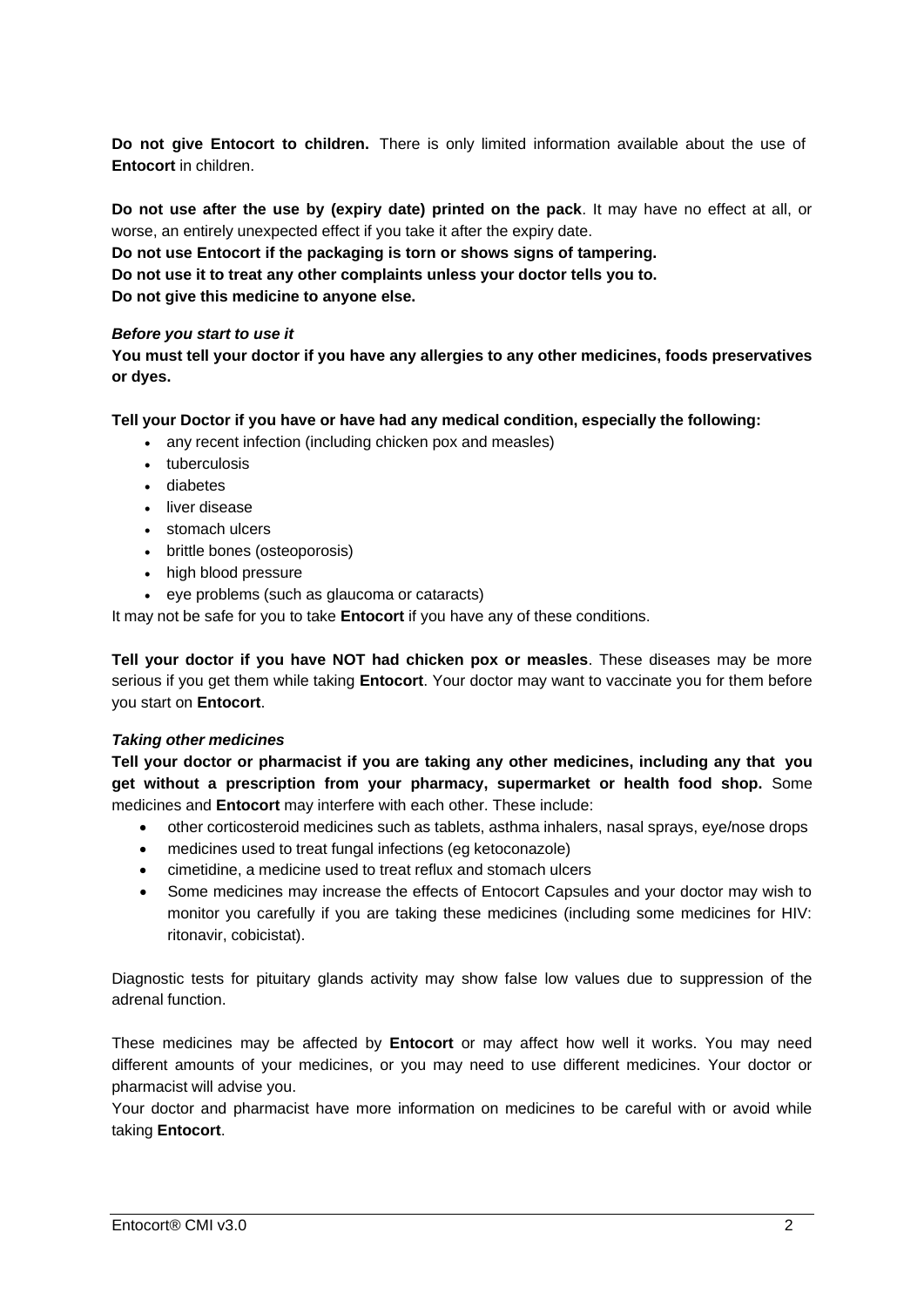**Do not give Entocort to children.** There is only limited information available about the use of **Entocort** in children.

**Do not use after the use by (expiry date) printed on the pack**. It may have no effect at all, or worse, an entirely unexpected effect if you take it after the expiry date.

**Do not use Entocort if the packaging is torn or shows signs of tampering.**

**Do not use it to treat any other complaints unless your doctor tells you to.**

**Do not give this medicine to anyone else.**

# *Before you start to use it*

**You must tell your doctor if you have any allergies to any other medicines, foods preservatives or dyes.**

# **Tell your Doctor if you have or have had any medical condition, especially the following:**

- any recent infection (including chicken pox and measles)
- tuberculosis
- diabetes
- liver disease
- stomach ulcers
- brittle bones (osteoporosis)
- high blood pressure
- eye problems (such as glaucoma or cataracts)

It may not be safe for you to take **Entocort** if you have any of these conditions.

**Tell your doctor if you have NOT had chicken pox or measles**. These diseases may be more serious if you get them while taking **Entocort**. Your doctor may want to vaccinate you for them before you start on **Entocort**.

# *Taking other medicines*

**Tell your doctor or pharmacist if you are taking any other medicines, including any that you get without a prescription from your pharmacy, supermarket or health food shop.** Some medicines and **Entocort** may interfere with each other. These include:

- other corticosteroid medicines such as tablets, asthma inhalers, nasal sprays, eye/nose drops
- medicines used to treat fungal infections (eg ketoconazole)
- cimetidine, a medicine used to treat reflux and stomach ulcers
- Some medicines may increase the effects of Entocort Capsules and your doctor may wish to monitor you carefully if you are taking these medicines (including some medicines for HIV: ritonavir, cobicistat).

Diagnostic tests for pituitary glands activity may show false low values due to suppression of the adrenal function.

These medicines may be affected by **Entocort** or may affect how well it works. You may need different amounts of your medicines, or you may need to use different medicines. Your doctor or pharmacist will advise you.

Your doctor and pharmacist have more information on medicines to be careful with or avoid while taking **Entocort**.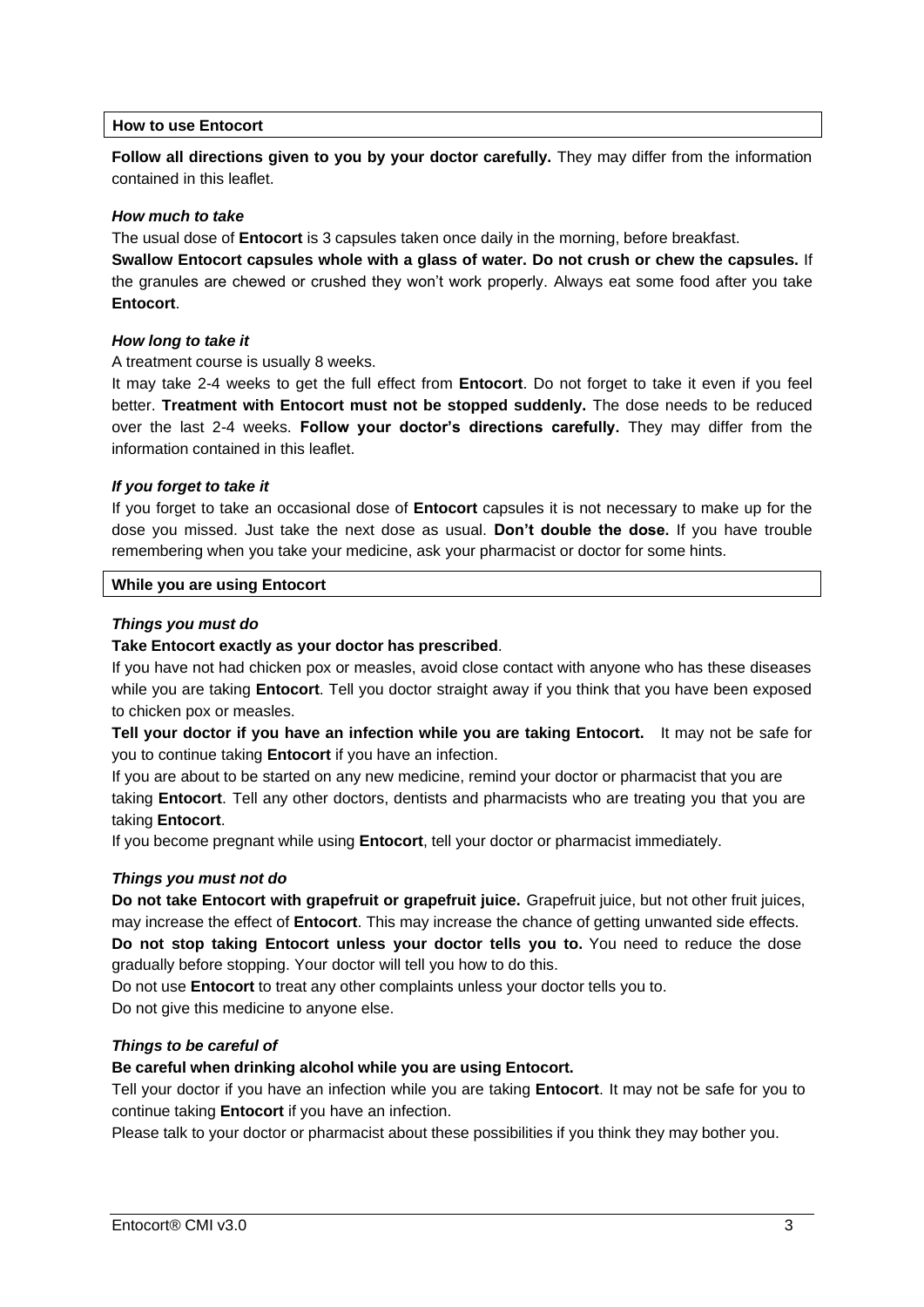# **How to use Entocort**

**Follow all directions given to you by your doctor carefully.** They may differ from the information contained in this leaflet.

#### *How much to take*

The usual dose of **Entocort** is 3 capsules taken once daily in the morning, before breakfast.

**Swallow Entocort capsules whole with a glass of water. Do not crush or chew the capsules.** If the granules are chewed or crushed they won't work properly. Always eat some food after you take **Entocort**.

## *How long to take it*

A treatment course is usually 8 weeks.

It may take 2-4 weeks to get the full effect from **Entocort**. Do not forget to take it even if you feel better. **Treatment with Entocort must not be stopped suddenly.** The dose needs to be reduced over the last 2-4 weeks. **Follow your doctor's directions carefully.** They may differ from the information contained in this leaflet.

## *If you forget to take it*

If you forget to take an occasional dose of **Entocort** capsules it is not necessary to make up for the dose you missed. Just take the next dose as usual. **Don't double the dose.** If you have trouble remembering when you take your medicine, ask your pharmacist or doctor for some hints.

#### **While you are using Entocort**

## *Things you must do*

#### **Take Entocort exactly as your doctor has prescribed**.

If you have not had chicken pox or measles, avoid close contact with anyone who has these diseases while you are taking **Entocort**. Tell you doctor straight away if you think that you have been exposed to chicken pox or measles.

**Tell your doctor if you have an infection while you are taking Entocort.** It may not be safe for you to continue taking **Entocort** if you have an infection.

If you are about to be started on any new medicine, remind your doctor or pharmacist that you are taking **Entocort**. Tell any other doctors, dentists and pharmacists who are treating you that you are taking **Entocort**.

If you become pregnant while using **Entocort**, tell your doctor or pharmacist immediately.

#### *Things you must not do*

**Do not take Entocort with grapefruit or grapefruit juice.** Grapefruit juice, but not other fruit juices, may increase the effect of **Entocort**. This may increase the chance of getting unwanted side effects. **Do not stop taking Entocort unless your doctor tells you to.** You need to reduce the dose gradually before stopping. Your doctor will tell you how to do this.

Do not use **Entocort** to treat any other complaints unless your doctor tells you to. Do not give this medicine to anyone else.

# *Things to be careful of*

# **Be careful when drinking alcohol while you are using Entocort.**

Tell your doctor if you have an infection while you are taking **Entocort**. It may not be safe for you to continue taking **Entocort** if you have an infection.

Please talk to your doctor or pharmacist about these possibilities if you think they may bother you.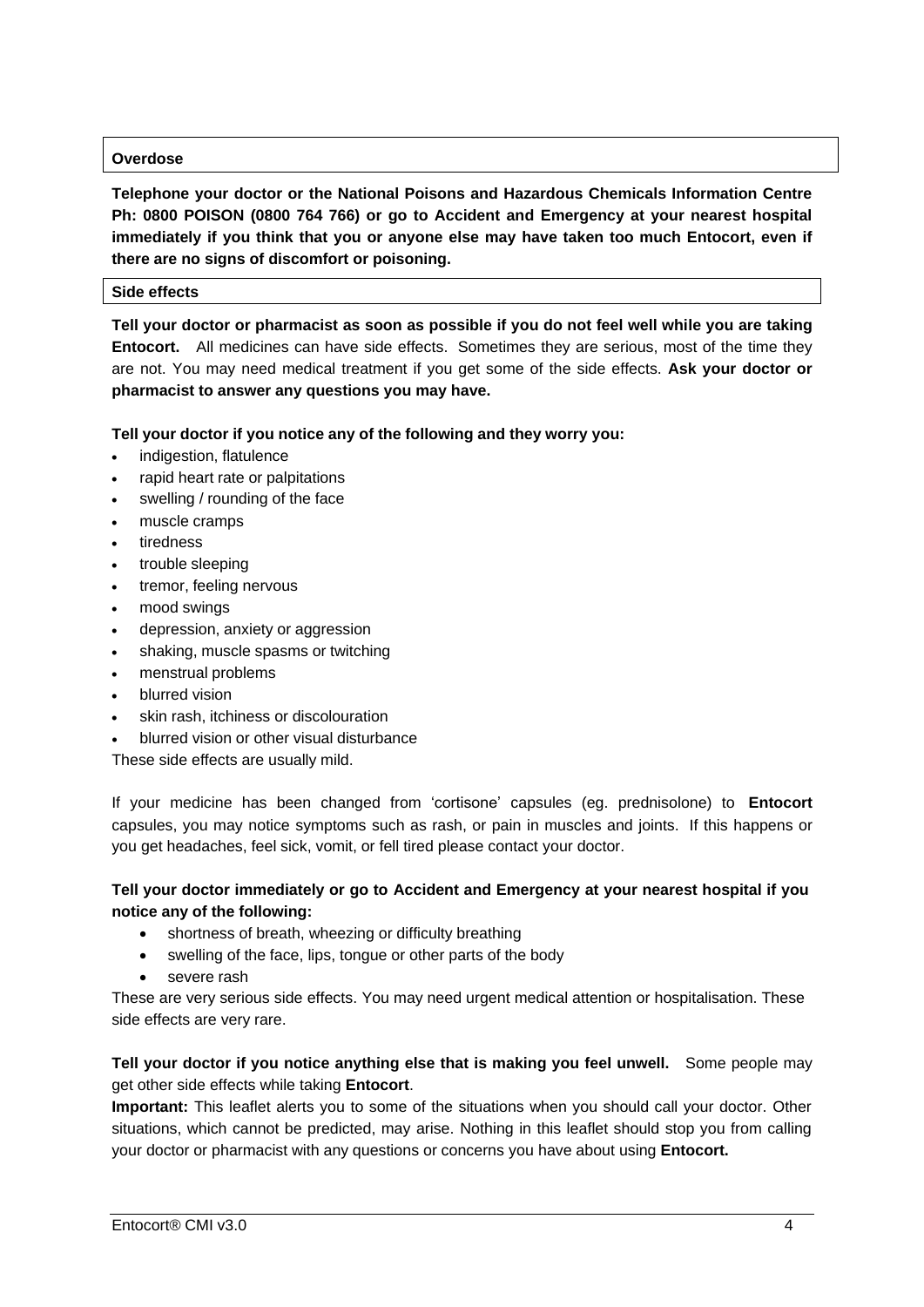# **Overdose**

**Telephone your doctor or the National Poisons and Hazardous Chemicals Information Centre Ph: 0800 POISON (0800 764 766) or go to Accident and Emergency at your nearest hospital immediately if you think that you or anyone else may have taken too much Entocort, even if there are no signs of discomfort or poisoning.**

## **Side effects**

**Tell your doctor or pharmacist as soon as possible if you do not feel well while you are taking Entocort.** All medicines can have side effects. Sometimes they are serious, most of the time they are not. You may need medical treatment if you get some of the side effects. **Ask your doctor or pharmacist to answer any questions you may have.**

# **Tell your doctor if you notice any of the following and they worry you:**

- indigestion, flatulence
- rapid heart rate or palpitations
- swelling / rounding of the face
- muscle cramps
- tiredness
- trouble sleeping
- tremor, feeling nervous
- mood swings
- depression, anxiety or aggression
- shaking, muscle spasms or twitching
- menstrual problems
- blurred vision
- skin rash, itchiness or discolouration
- blurred vision or other visual disturbance

These side effects are usually mild.

If your medicine has been changed from 'cortisone' capsules (eg. prednisolone) to **Entocort** capsules, you may notice symptoms such as rash, or pain in muscles and joints. If this happens or you get headaches, feel sick, vomit, or fell tired please contact your doctor.

# **Tell your doctor immediately or go to Accident and Emergency at your nearest hospital if you notice any of the following:**

- shortness of breath, wheezing or difficulty breathing
- swelling of the face, lips, tongue or other parts of the body
- severe rash

These are very serious side effects. You may need urgent medical attention or hospitalisation. These side effects are very rare.

# **Tell your doctor if you notice anything else that is making you feel unwell.** Some people may get other side effects while taking **Entocort**.

**Important:** This leaflet alerts you to some of the situations when you should call your doctor. Other situations, which cannot be predicted, may arise. Nothing in this leaflet should stop you from calling your doctor or pharmacist with any questions or concerns you have about using **Entocort.**